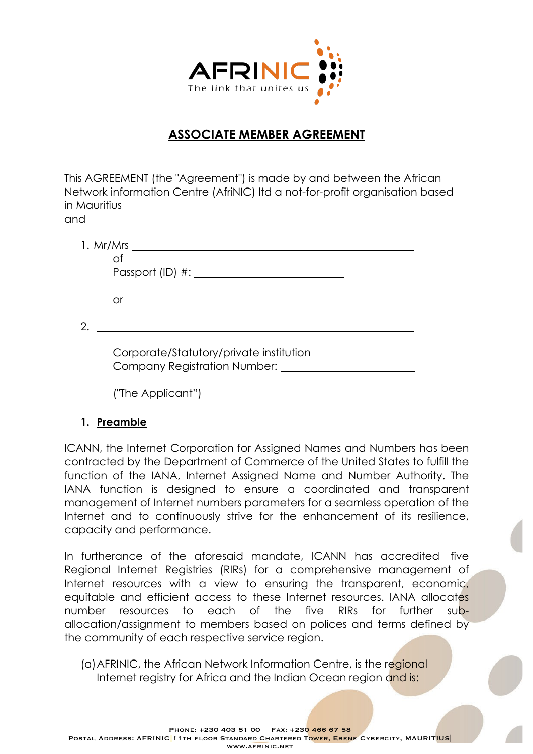

## **ASSOCIATE MEMBER AGREEMENT**

This AGREEMENT (the "Agreement") is made by and between the African Network information Centre (AfriNIC) ltd a not-for-profit organisation based in Mauritius and

| 1. Mr/Mrs                                                                      |
|--------------------------------------------------------------------------------|
|                                                                                |
|                                                                                |
|                                                                                |
| Ωľ                                                                             |
|                                                                                |
|                                                                                |
| Corporate/Statutory/private institution<br><b>Company Registration Number:</b> |

("The Applicant")

#### **1. Preamble**

ICANN, the Internet Corporation for Assigned Names and Numbers has been contracted by the Department of Commerce of the United States to fulfill the function of the IANA, Internet Assigned Name and Number Authority. The IANA function is designed to ensure a coordinated and transparent management of Internet numbers parameters for a seamless operation of the Internet and to continuously strive for the enhancement of its resilience, capacity and performance.

In furtherance of the aforesaid mandate, ICANN has accredited five Regional Internet Registries (RIRs) for a comprehensive management of Internet resources with a view to ensuring the transparent, economic, equitable and efficient access to these Internet resources. IANA allocates number resources to each of the five RIRs for further suballocation/assignment to members based on polices and terms defined by the community of each respective service region.

(a)AFRINIC, the African Network Information Centre, is the regional Internet registry for Africa and the Indian Ocean region and is: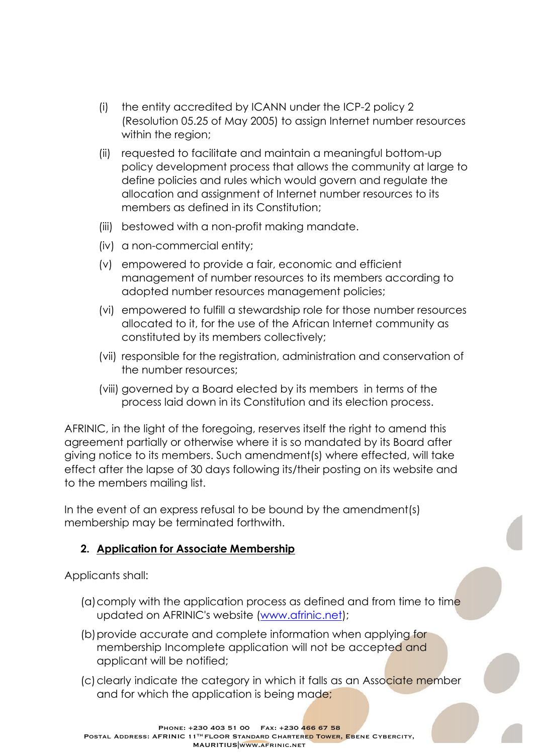- (i) the entity accredited by ICANN under the ICP-2 policy 2 (Resolution 05.25 of May 2005) to assign Internet number resources within the region;
- (ii) requested to facilitate and maintain a meaningful bottom-up policy development process that allows the community at large to define policies and rules which would govern and regulate the allocation and assignment of Internet number resources to its members as defined in its Constitution;
- (iii) bestowed with a non-profit making mandate.
- (iv) a non-commercial entity;
- (v) empowered to provide a fair, economic and efficient management of number resources to its members according to adopted number resources management policies;
- (vi) empowered to fulfill a stewardship role for those number resources allocated to it, for the use of the African Internet community as constituted by its members collectively;
- (vii) responsible for the registration, administration and conservation of the number resources;
- (viii) governed by a Board elected by its members in terms of the process laid down in its Constitution and its election process.

AFRINIC, in the light of the foregoing, reserves itself the right to amend this agreement partially or otherwise where it is so mandated by its Board after giving notice to its members. Such amendment(s) where effected, will take effect after the lapse of 30 days following its/their posting on its website and to the members mailing list.

In the event of an express refusal to be bound by the amendment(s) membership may be terminated forthwith.

### **2. Application for Associate Membership**

Applicants shall:

- (a)comply with the application process as defined and from time to time updated on AFRINIC's website (www.afrinic.net);
- (b) provide accurate and complete information when applying for membership Incomplete application will not be accepted and applicant will be notified;
- (c) clearly indicate the category in which it falls as an Associate member and for which the application is being made;

Phone: +230 403 51 00 Fax: +230 466 67 58 POSTAL ADDRESS: AFRINIC 11<sup>TH</sup> FLOOR STANDARD CHARTERED TOWER, EBENE CYBERCITY, MAURITIUS|www.afrinic.net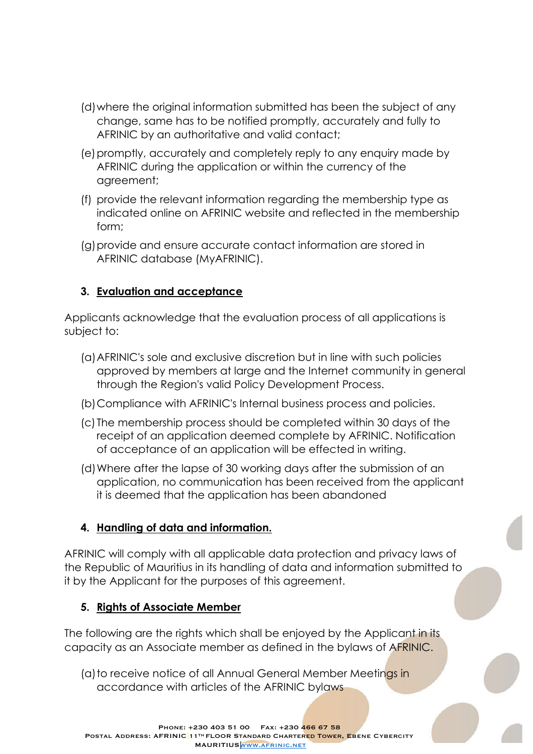- (d)where the original information submitted has been the subject of any change, same has to be notified promptly, accurately and fully to AFRINIC by an authoritative and valid contact;
- (e)promptly, accurately and completely reply to any enquiry made by AFRINIC during the application or within the currency of the agreement;
- (f) provide the relevant information regarding the membership type as indicated online on AFRINIC website and reflected in the membership form;
- (g)provide and ensure accurate contact information are stored in AFRINIC database (MyAFRINIC).

#### **3. Evaluation and acceptance**

Applicants acknowledge that the evaluation process of all applications is subject to:

- (a)AFRINIC's sole and exclusive discretion but in line with such policies approved by members at large and the Internet community in general through the Region's valid Policy Development Process.
- (b)Compliance with AFRINIC's Internal business process and policies.
- (c) The membership process should be completed within 30 days of the receipt of an application deemed complete by AFRINIC. Notification of acceptance of an application will be effected in writing.
- (d)Where after the lapse of 30 working days after the submission of an application, no communication has been received from the applicant it is deemed that the application has been abandoned

### **4. Handling of data and information.**

AFRINIC will comply with all applicable data protection and privacy laws of the Republic of Mauritius in its handling of data and information submitted to it by the Applicant for the purposes of this agreement.

### **5. Rights of Associate Member**

The following are the rights which shall be enjoyed by the Applicant in its capacity as an Associate member as defined in the bylaws of AFRINIC.

(a) to receive notice of all Annual General Member Meetings in accordance with articles of the AFRINIC bylaws

Phone: +230 403 51 00 Fax: +230 466 67 58 POSTAL ADDRESS: AFRINIC 11TH FLOOR STANDARD CHARTERED TOWER, EBENE CYBERCITY MAURITIUS WWW.AFRINIC.NET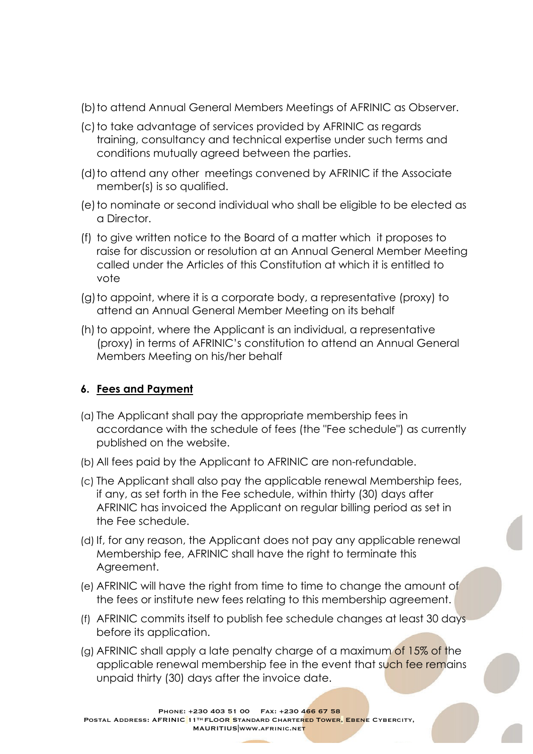- (b)to attend Annual General Members Meetings of AFRINIC as Observer.
- (c) to take advantage of services provided by AFRINIC as regards training, consultancy and technical expertise under such terms and conditions mutually agreed between the parties.
- (d) to attend any other meetings convened by AFRINIC if the Associate member(s) is so qualified.
- (e)to nominate or second individual who shall be eligible to be elected as a Director.
- (f) to give written notice to the Board of a matter which it proposes to raise for discussion or resolution at an Annual General Member Meeting called under the Articles of this Constitution at which it is entitled to vote
- (g)to appoint, where it is a corporate body, a representative (proxy) to attend an Annual General Member Meeting on its behalf
- (h) to appoint, where the Applicant is an individual, a representative (proxy) in terms of AFRINIC's constitution to attend an Annual General Members Meeting on his/her behalf

#### **6. Fees and Payment**

- (a) The Applicant shall pay the appropriate membership fees in accordance with the schedule of fees (the "Fee schedule") as currently published on the website.
- (b) All fees paid by the Applicant to AFRINIC are non-refundable.
- (c) The Applicant shall also pay the applicable renewal Membership fees, if any, as set forth in the Fee schedule, within thirty (30) days after AFRINIC has invoiced the Applicant on regular billing period as set in the Fee schedule.
- (d) If, for any reason, the Applicant does not pay any applicable renewal Membership fee, AFRINIC shall have the right to terminate this Agreement.
- (e) AFRINIC will have the right from time to time to change the amount of the fees or institute new fees relating to this membership agreement.
- (f) AFRINIC commits itself to publish fee schedule changes at least 30 days before its application.
- (g) AFRINIC shall apply a late penalty charge of a maximum of 15% of the applicable renewal membership fee in the event that such fee remains unpaid thirty (30) days after the invoice date.

Phone: +230 403 51 00 Fax: +230 466 67 58 POSTAL ADDRESS: AFRINIC 11<sup>TH</sup> FLOOR STANDARD CHARTERED TOWER, EBENE CYBERCITY, MAURITIUSWww.AFRINIC.NET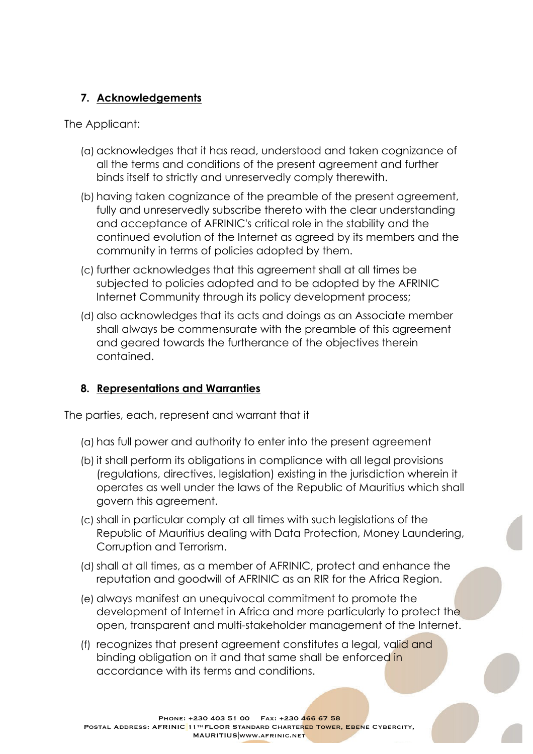### **7. Acknowledgements**

The Applicant:

- (a) acknowledges that it has read, understood and taken cognizance of all the terms and conditions of the present agreement and further binds itself to strictly and unreservedly comply therewith.
- (b) having taken cognizance of the preamble of the present agreement, fully and unreservedly subscribe thereto with the clear understanding and acceptance of AFRINIC's critical role in the stability and the continued evolution of the Internet as agreed by its members and the community in terms of policies adopted by them.
- (c) further acknowledges that this agreement shall at all times be subjected to policies adopted and to be adopted by the AFRINIC Internet Community through its policy development process;
- (d) also acknowledges that its acts and doings as an Associate member shall always be commensurate with the preamble of this agreement and geared towards the furtherance of the objectives therein contained.

### **8. Representations and Warranties**

The parties, each, represent and warrant that it

- (a) has full power and authority to enter into the present agreement
- (b) it shall perform its obligations in compliance with all legal provisions (regulations, directives, legislation) existing in the jurisdiction wherein it operates as well under the laws of the Republic of Mauritius which shall govern this agreement.
- (c) shall in particular comply at all times with such legislations of the Republic of Mauritius dealing with Data Protection, Money Laundering, Corruption and Terrorism.
- (d)shall at all times, as a member of AFRINIC, protect and enhance the reputation and goodwill of AFRINIC as an RIR for the Africa Region.
- (e) always manifest an unequivocal commitment to promote the development of Internet in Africa and more particularly to protect the open, transparent and multi-stakeholder management of the Internet.
- (f) recognizes that present agreement constitutes a legal, valid and binding obligation on it and that same shall be enforced in accordance with its terms and conditions.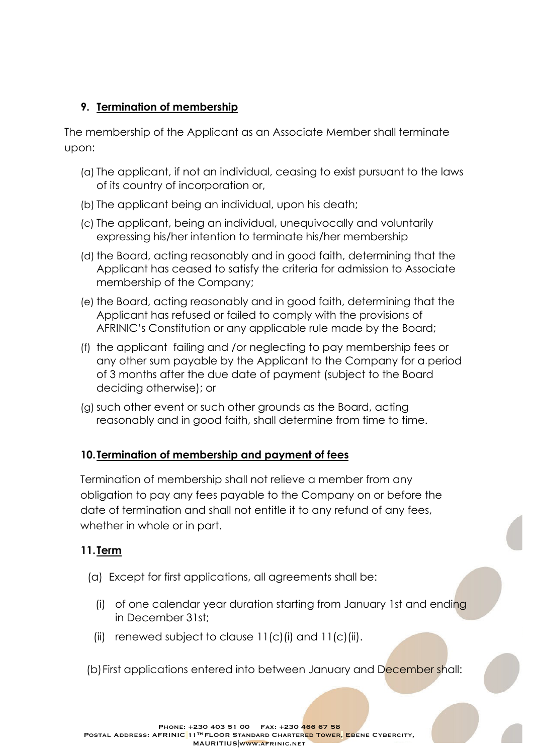### **9. Termination of membership**

The membership of the Applicant as an Associate Member shall terminate upon:

- (a) The applicant, if not an individual, ceasing to exist pursuant to the laws of its country of incorporation or,
- (b) The applicant being an individual, upon his death;
- (c) The applicant, being an individual, unequivocally and voluntarily expressing his/her intention to terminate his/her membership
- (d) the Board, acting reasonably and in good faith, determining that the Applicant has ceased to satisfy the criteria for admission to Associate membership of the Company;
- (e) the Board, acting reasonably and in good faith, determining that the Applicant has refused or failed to comply with the provisions of AFRINIC's Constitution or any applicable rule made by the Board;
- (f) the applicant failing and /or neglecting to pay membership fees or any other sum payable by the Applicant to the Company for a period of 3 months after the due date of payment (subject to the Board deciding otherwise); or
- (g)such other event or such other grounds as the Board, acting reasonably and in good faith, shall determine from time to time.

#### **10.Termination of membership and payment of fees**

Termination of membership shall not relieve a member from any obligation to pay any fees payable to the Company on or before the date of termination and shall not entitle it to any refund of any fees, whether in whole or in part.

### **11.Term**

- (a) Except for first applications, all agreements shall be:
	- (i) of one calendar year duration starting from January 1st and ending in December 31st;
	- (ii) renewed subject to clause  $11(c)$  (i) and  $11(c)$  (ii).
- (b)First applications entered into between January and December shall: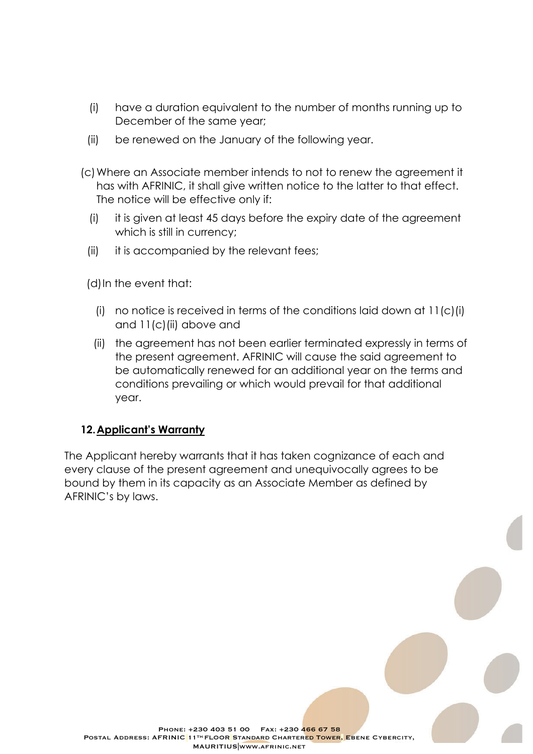- (i) have a duration equivalent to the number of months running up to December of the same year;
- (ii) be renewed on the January of the following year.
- (c)Where an Associate member intends to not to renew the agreement it has with AFRINIC, it shall give written notice to the latter to that effect. The notice will be effective only if:
	- (i) it is given at least 45 days before the expiry date of the agreement which is still in currency;
	- (ii) it is accompanied by the relevant fees;

(d)In the event that:

- (i) no notice is received in terms of the conditions laid down at  $11(c)(i)$ and 11(c)(ii) above and
- (ii) the agreement has not been earlier terminated expressly in terms of the present agreement. AFRINIC will cause the said agreement to be automatically renewed for an additional year on the terms and conditions prevailing or which would prevail for that additional year.

#### **12.Applicant's Warranty**

The Applicant hereby warrants that it has taken cognizance of each and every clause of the present agreement and unequivocally agrees to be bound by them in its capacity as an Associate Member as defined by AFRINIC's by laws.